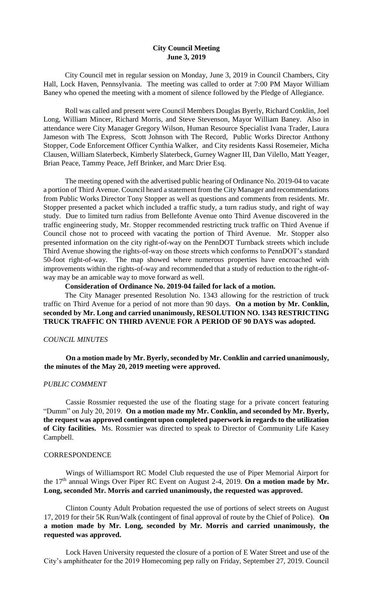# **City Council Meeting June 3, 2019**

City Council met in regular session on Monday, June 3, 2019 in Council Chambers, City Hall, Lock Haven, Pennsylvania. The meeting was called to order at 7:00 PM Mayor William Baney who opened the meeting with a moment of silence followed by the Pledge of Allegiance.

Roll was called and present were Council Members Douglas Byerly, Richard Conklin, Joel Long, William Mincer, Richard Morris, and Steve Stevenson, Mayor William Baney. Also in attendance were City Manager Gregory Wilson, Human Resource Specialist Ivana Trader, Laura Jameson with The Express, Scott Johnson with The Record, Public Works Director Anthony Stopper, Code Enforcement Officer Cynthia Walker, and City residents Kassi Rosemeier, Micha Clausen, William Slaterbeck, Kimberly Slaterbeck, Gurney Wagner III, Dan Vilello, Matt Yeager, Brian Peace, Tammy Peace, Jeff Brinker, and Marc Drier Esq.

The meeting opened with the advertised public hearing of Ordinance No. 2019-04 to vacate a portion of Third Avenue. Council heard a statement from the City Manager and recommendations from Public Works Director Tony Stopper as well as questions and comments from residents. Mr. Stopper presented a packet which included a traffic study, a turn radius study, and right of way study. Due to limited turn radius from Bellefonte Avenue onto Third Avenue discovered in the traffic engineering study, Mr. Stopper recommended restricting truck traffic on Third Avenue if Council chose not to proceed with vacating the portion of Third Avenue. Mr. Stopper also presented information on the city right-of-way on the PennDOT Turnback streets which include Third Avenue showing the rights-of-way on those streets which conforms to PennDOT's standard 50-foot right-of-way. The map showed where numerous properties have encroached with improvements within the rights-of-way and recommended that a study of reduction to the right-ofway may be an amicable way to move forward as well.

#### **Consideration of Ordinance No. 2019-04 failed for lack of a motion.**

The City Manager presented Resolution No. 1343 allowing for the restriction of truck traffic on Third Avenue for a period of not more than 90 days. **On a motion by Mr. Conklin, seconded by Mr. Long and carried unanimously, RESOLUTION NO. 1343 RESTRICTING TRUCK TRAFFIC ON THIRD AVENUE FOR A PERIOD OF 90 DAYS was adopted.** 

#### *COUNCIL MINUTES*

**On a motion made by Mr. Byerly, seconded by Mr. Conklin and carried unanimously, the minutes of the May 20, 2019 meeting were approved.**

#### *PUBLIC COMMENT*

Cassie Rossmier requested the use of the floating stage for a private concert featuring "Dumm" on July 20, 2019. **On a motion made my Mr. Conklin, and seconded by Mr. Byerly, the request was approved contingent upon completed paperwork in regards to the utilization of City facilities.** Ms. Rossmier was directed to speak to Director of Community Life Kasey Campbell.

#### **CORRESPONDENCE**

Wings of Williamsport RC Model Club requested the use of Piper Memorial Airport for the 17th annual Wings Over Piper RC Event on August 2-4, 2019. **On a motion made by Mr. Long, seconded Mr. Morris and carried unanimously, the requested was approved.**

Clinton County Adult Probation requested the use of portions of select streets on August 17, 2019 for their 5K Run/Walk (contingent of final approval of route by the Chief of Police). **On a motion made by Mr. Long, seconded by Mr. Morris and carried unanimously, the requested was approved.**

Lock Haven University requested the closure of a portion of E Water Street and use of the City's amphitheater for the 2019 Homecoming pep rally on Friday, September 27, 2019. Council